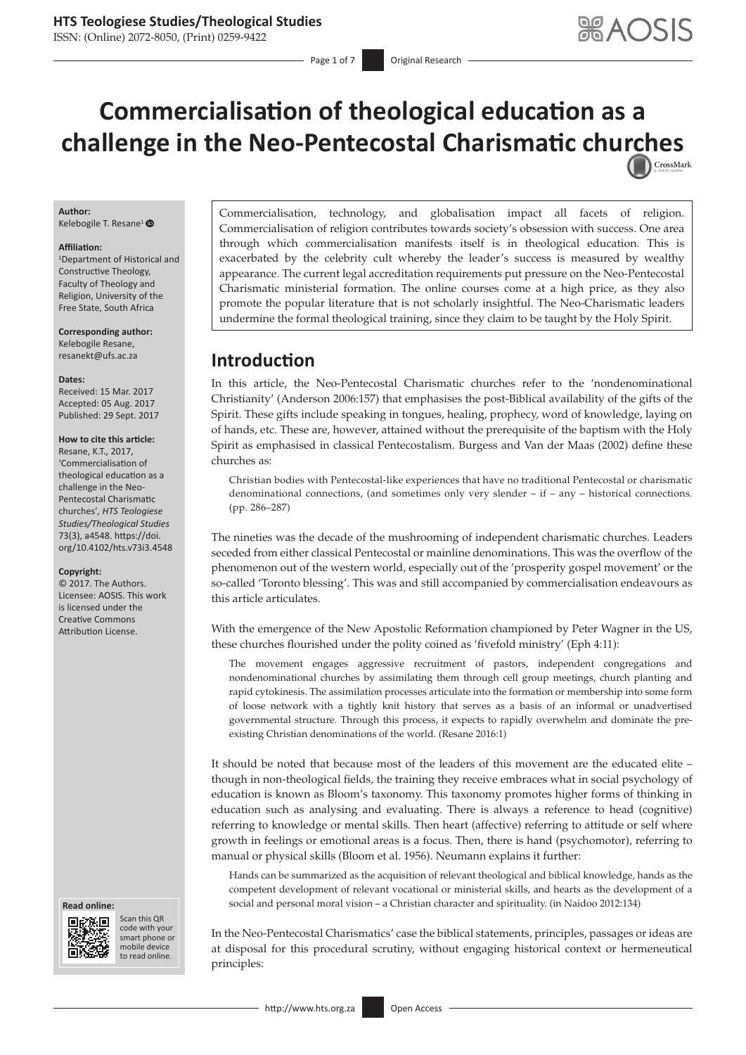ISSN: (Online) 2072-8050, (Print) 0259-9422

Page 1 of 7 **Original Research** 

# **Commercialisation of theological education as a challenge in the Neo-Pentecostal Charismatic chu[rches](http://crossmark.crossref.org/dialog/?doi=10.4102/hts.v73i3.4548=pdf&date_stamp=2017-09-29)**

### **Author:**

Kelebogile T. Resane<sup>1</sup>

### **Affiliation:**

1 Department of Historical and Constructive Theology, Faculty of Theology and Religion, University of the Free State, South Africa

**Corresponding author:** Kelebogile Resane, [resanekt@ufs.ac.za](mailto:resanekt@ufs.ac.za)

#### **Dates:**

Received: 15 Mar. 2017 Accepted: 05 Aug. 2017 Published: 29 Sept. 2017

### **How to cite this article:**

Resane, K.T., 2017, 'Commercialisation of theological education as a challenge in the Neo-Pentecostal Charismatic churches'*, HTS Teologiese Studies/Theological Studies* 73(3), a4548. [https://doi.](https://doi.org/10.4102/hts.v73i3.4548) [org/10.4102/hts.v73i3.4548](https://doi.org/10.4102/hts.v73i3.4548)

### **Copyright:**

© 2017. The Authors. Licensee: AOSIS. This work is licensed under the Creative Commons Attribution License.

#### **Read online: Read**



Scan this QR code with your Scan this QR<br>code with your<br>smart phone or<br>mobile device mobile device to read online. to read online.

Commercialisation, technology, and globalisation impact all facets of religion. Commercialisation of religion contributes towards society's obsession with success. One area through which commercialisation manifests itself is in theological education. This is exacerbated by the celebrity cult whereby the leader's success is measured by wealthy appearance. The current legal accreditation requirements put pressure on the Neo-Pentecostal Charismatic ministerial formation. The online courses come at a high price, as they also promote the popular literature that is not scholarly insightful. The Neo-Charismatic leaders undermine the formal theological training, since they claim to be taught by the Holy Spirit.

### **Introduction**

In this article, the Neo-Pentecostal Charismatic churches refer to the 'nondenominational Christianity' (Anderson 2006:157) that emphasises the post-Biblical availability of the gifts of the Spirit. These gifts include speaking in tongues, healing, prophecy, word of knowledge, laying on of hands, etc. These are, however, attained without the prerequisite of the baptism with the Holy Spirit as emphasised in classical Pentecostalism. Burgess and Van der Maas (2002) define these churches as:

Christian bodies with Pentecostal-like experiences that have no traditional Pentecostal or charismatic denominational connections, (and sometimes only very slender – if – any – historical connections. (pp. 286–287)

The nineties was the decade of the mushrooming of independent charismatic churches. Leaders seceded from either classical Pentecostal or mainline denominations. This was the overflow of the phenomenon out of the western world, especially out of the 'prosperity gospel movement' or the so-called 'Toronto blessing'. This was and still accompanied by commercialisation endeavours as this article articulates.

With the emergence of the New Apostolic Reformation championed by Peter Wagner in the US, these churches flourished under the polity coined as 'fivefold ministry' (Eph 4:11):

The movement engages aggressive recruitment of pastors, independent congregations and nondenominational churches by assimilating them through cell group meetings, church planting and rapid cytokinesis. The assimilation processes articulate into the formation or membership into some form of loose network with a tightly knit history that serves as a basis of an informal or unadvertised governmental structure. Through this process, it expects to rapidly overwhelm and dominate the preexisting Christian denominations of the world. (Resane 2016:1)

It should be noted that because most of the leaders of this movement are the educated elite – though in non-theological fields, the training they receive embraces what in social psychology of education is known as Bloom's taxonomy. This taxonomy promotes higher forms of thinking in education such as analysing and evaluating. There is always a reference to head (cognitive) referring to knowledge or mental skills. Then heart (affective) referring to attitude or self where growth in feelings or emotional areas is a focus. Then, there is hand (psychomotor), referring to manual or physical skills (Bloom et al. 1956). Neumann explains it further:

Hands can be summarized as the acquisition of relevant theological and biblical knowledge, hands as the competent development of relevant vocational or ministerial skills, and hearts as the development of a social and personal moral vision – a Christian character and spirituality. (in Naidoo 2012:134)

In the Neo-Pentecostal Charismatics' case the biblical statements, principles, passages or ideas are at disposal for this procedural scrutiny, without engaging historical context or hermeneutical principles: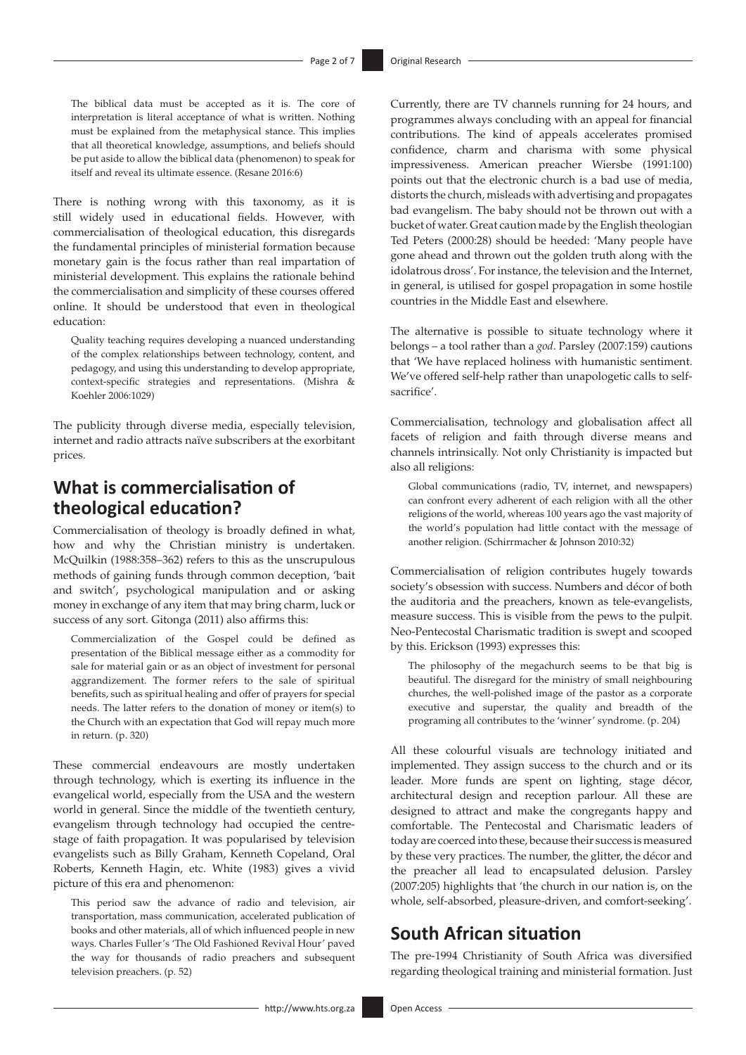The biblical data must be accepted as it is. The core of interpretation is literal acceptance of what is written. Nothing must be explained from the metaphysical stance. This implies that all theoretical knowledge, assumptions, and beliefs should be put aside to allow the biblical data (phenomenon) to speak for itself and reveal its ultimate essence. (Resane 2016:6)

There is nothing wrong with this taxonomy, as it is still widely used in educational fields. However, with commercialisation of theological education, this disregards the fundamental principles of ministerial formation because monetary gain is the focus rather than real impartation of ministerial development. This explains the rationale behind the commercialisation and simplicity of these courses offered online. It should be understood that even in theological education:

Quality teaching requires developing a nuanced understanding of the complex relationships between technology, content, and pedagogy, and using this understanding to develop appropriate, context-specific strategies and representations. (Mishra & Koehler 2006:1029)

The publicity through diverse media, especially television, internet and radio attracts naïve subscribers at the exorbitant prices.

# **What is commercialisation of theological education?**

Commercialisation of theology is broadly defined in what, how and why the Christian ministry is undertaken. McQuilkin (1988:358–362) refers to this as the unscrupulous methods of gaining funds through common deception, 'bait and switch', psychological manipulation and or asking money in exchange of any item that may bring charm, luck or success of any sort. Gitonga (2011) also affirms this:

Commercialization of the Gospel could be defined as presentation of the Biblical message either as a commodity for sale for material gain or as an object of investment for personal aggrandizement. The former refers to the sale of spiritual benefits, such as spiritual healing and offer of prayers for special needs. The latter refers to the donation of money or item(s) to the Church with an expectation that God will repay much more in return. (p. 320)

These commercial endeavours are mostly undertaken through technology, which is exerting its influence in the evangelical world, especially from the USA and the western world in general. Since the middle of the twentieth century, evangelism through technology had occupied the centrestage of faith propagation. It was popularised by television evangelists such as Billy Graham, Kenneth Copeland, Oral Roberts, Kenneth Hagin, etc. White (1983) gives a vivid picture of this era and phenomenon:

This period saw the advance of radio and television, air transportation, mass communication, accelerated publication of books and other materials, all of which influenced people in new ways. Charles Fuller's 'The Old Fashioned Revival Hour' paved the way for thousands of radio preachers and subsequent television preachers. (p. 52)

Currently, there are TV channels running for 24 hours, and programmes always concluding with an appeal for financial contributions. The kind of appeals accelerates promised confidence, charm and charisma with some physical impressiveness. American preacher Wiersbe (1991:100) points out that the electronic church is a bad use of media, distorts the church, misleads with advertising and propagates bad evangelism. The baby should not be thrown out with a bucket of water. Great caution made by the English theologian Ted Peters (2000:28) should be heeded: 'Many people have gone ahead and thrown out the golden truth along with the idolatrous dross'. For instance, the television and the Internet, in general, is utilised for gospel propagation in some hostile countries in the Middle East and elsewhere.

The alternative is possible to situate technology where it belongs – a tool rather than a *god*. Parsley (2007:159) cautions that 'We have replaced holiness with humanistic sentiment. We've offered self-help rather than unapologetic calls to selfsacrifice'.

Commercialisation, technology and globalisation affect all facets of religion and faith through diverse means and channels intrinsically. Not only Christianity is impacted but also all religions:

Global communications (radio, TV, internet, and newspapers) can confront every adherent of each religion with all the other religions of the world, whereas 100 years ago the vast majority of the world's population had little contact with the message of another religion. (Schirrmacher & Johnson 2010:32)

Commercialisation of religion contributes hugely towards society's obsession with success. Numbers and décor of both the auditoria and the preachers, known as tele-evangelists, measure success. This is visible from the pews to the pulpit. Neo-Pentecostal Charismatic tradition is swept and scooped by this. Erickson (1993) expresses this:

The philosophy of the megachurch seems to be that big is beautiful. The disregard for the ministry of small neighbouring churches, the well-polished image of the pastor as a corporate executive and superstar, the quality and breadth of the programing all contributes to the 'winner' syndrome. (p. 204)

All these colourful visuals are technology initiated and implemented. They assign success to the church and or its leader. More funds are spent on lighting, stage décor, architectural design and reception parlour. All these are designed to attract and make the congregants happy and comfortable. The Pentecostal and Charismatic leaders of today are coerced into these, because their success is measured by these very practices. The number, the glitter, the décor and the preacher all lead to encapsulated delusion. Parsley (2007:205) highlights that 'the church in our nation is, on the whole, self-absorbed, pleasure-driven, and comfort-seeking'.

# **South African situation**

The pre-1994 Christianity of South Africa was diversified regarding theological training and ministerial formation. Just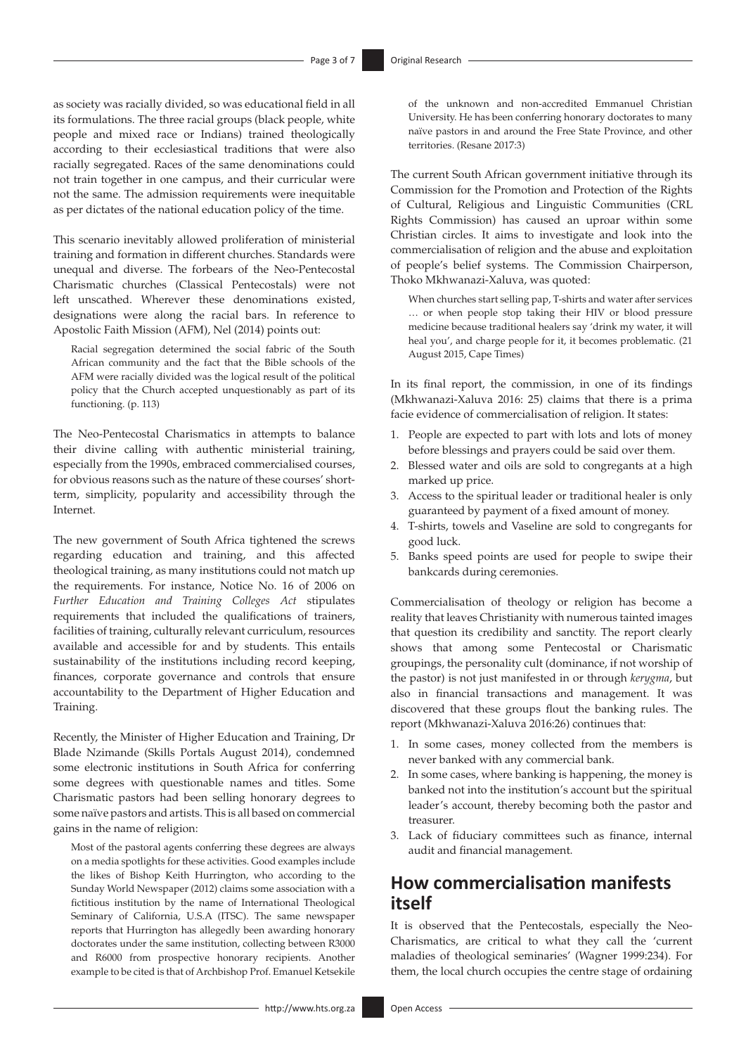as society was racially divided, so was educational field in all its formulations. The three racial groups (black people, white people and mixed race or Indians) trained theologically according to their ecclesiastical traditions that were also racially segregated. Races of the same denominations could not train together in one campus, and their curricular were not the same. The admission requirements were inequitable as per dictates of the national education policy of the time.

This scenario inevitably allowed proliferation of ministerial training and formation in different churches. Standards were unequal and diverse. The forbears of the Neo-Pentecostal Charismatic churches (Classical Pentecostals) were not left unscathed. Wherever these denominations existed, designations were along the racial bars. In reference to Apostolic Faith Mission (AFM), Nel (2014) points out:

Racial segregation determined the social fabric of the South African community and the fact that the Bible schools of the AFM were racially divided was the logical result of the political policy that the Church accepted unquestionably as part of its functioning. (p. 113)

The Neo-Pentecostal Charismatics in attempts to balance their divine calling with authentic ministerial training, especially from the 1990s, embraced commercialised courses, for obvious reasons such as the nature of these courses' shortterm, simplicity, popularity and accessibility through the Internet.

The new government of South Africa tightened the screws regarding education and training, and this affected theological training, as many institutions could not match up the requirements. For instance, Notice No. 16 of 2006 on *Further Education and Training Colleges Act* stipulates requirements that included the qualifications of trainers, facilities of training, culturally relevant curriculum, resources available and accessible for and by students. This entails sustainability of the institutions including record keeping, finances, corporate governance and controls that ensure accountability to the Department of Higher Education and Training.

Recently, the Minister of Higher Education and Training, Dr Blade Nzimande (Skills Portals August 2014), condemned some electronic institutions in South Africa for conferring some degrees with questionable names and titles. Some Charismatic pastors had been selling honorary degrees to some naïve pastors and artists. This is all based on commercial gains in the name of religion:

Most of the pastoral agents conferring these degrees are always on a media spotlights for these activities. Good examples include the likes of Bishop Keith Hurrington, who according to the Sunday World Newspaper (2012) claims some association with a fictitious institution by the name of International Theological Seminary of California, U.S.A (ITSC). The same newspaper reports that Hurrington has allegedly been awarding honorary doctorates under the same institution, collecting between R3000 and R6000 from prospective honorary recipients. Another example to be cited is that of Archbishop Prof. Emanuel Ketsekile

of the unknown and non-accredited Emmanuel Christian University. He has been conferring honorary doctorates to many naïve pastors in and around the Free State Province, and other territories. (Resane 2017:3)

The current South African government initiative through its Commission for the Promotion and Protection of the Rights of Cultural, Religious and Linguistic Communities (CRL Rights Commission) has caused an uproar within some Christian circles. It aims to investigate and look into the commercialisation of religion and the abuse and exploitation of people's belief systems. The Commission Chairperson, Thoko Mkhwanazi-Xaluva, was quoted:

When churches start selling pap, T-shirts and water after services … or when people stop taking their HIV or blood pressure medicine because traditional healers say 'drink my water, it will heal you', and charge people for it, it becomes problematic. (21 August 2015, Cape Times)

In its final report, the commission, in one of its findings (Mkhwanazi-Xaluva 2016: 25) claims that there is a prima facie evidence of commercialisation of religion. It states:

- 1. People are expected to part with lots and lots of money before blessings and prayers could be said over them.
- 2. Blessed water and oils are sold to congregants at a high marked up price.
- 3. Access to the spiritual leader or traditional healer is only guaranteed by payment of a fixed amount of money.
- 4. T-shirts, towels and Vaseline are sold to congregants for good luck.
- 5. Banks speed points are used for people to swipe their bankcards during ceremonies.

Commercialisation of theology or religion has become a reality that leaves Christianity with numerous tainted images that question its credibility and sanctity. The report clearly shows that among some Pentecostal or Charismatic groupings, the personality cult (dominance, if not worship of the pastor) is not just manifested in or through *kerygma*, but also in financial transactions and management. It was discovered that these groups flout the banking rules. The report (Mkhwanazi-Xaluva 2016:26) continues that:

- 1. In some cases, money collected from the members is never banked with any commercial bank.
- 2. In some cases, where banking is happening, the money is banked not into the institution's account but the spiritual leader's account, thereby becoming both the pastor and treasurer.
- 3. Lack of fiduciary committees such as finance, internal audit and financial management.

# **How commercialisation manifests itself**

It is observed that the Pentecostals, especially the Neo-Charismatics, are critical to what they call the 'current maladies of theological seminaries' (Wagner 1999:234). For them, the local church occupies the centre stage of ordaining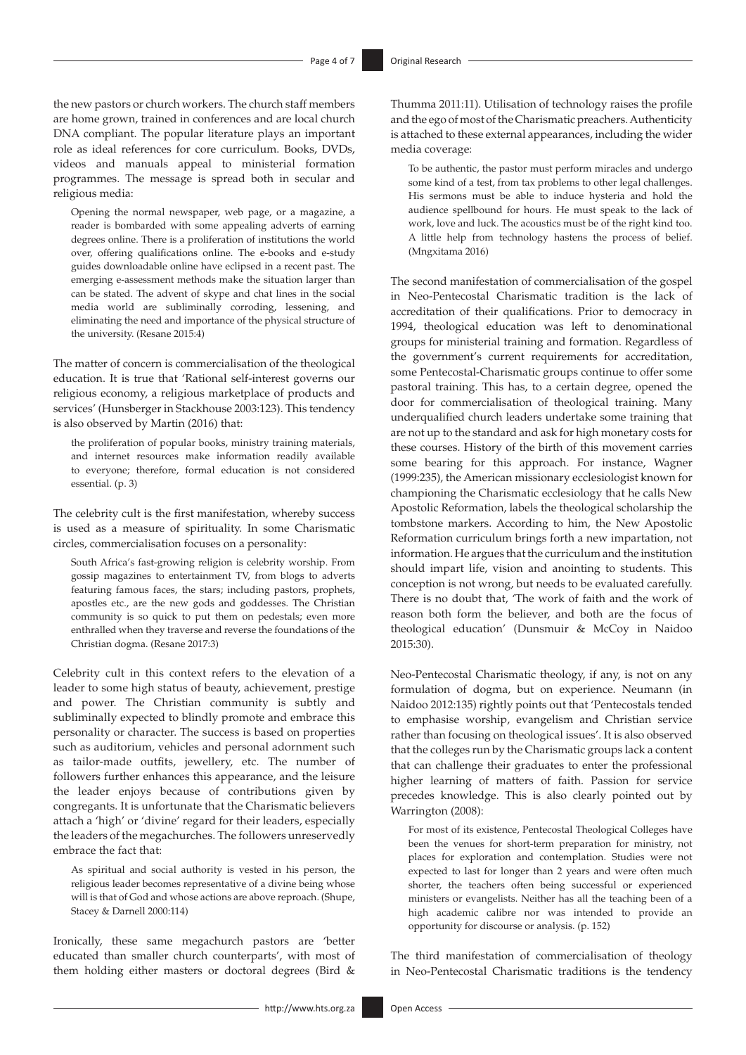the new pastors or church workers. The church staff members are home grown, trained in conferences and are local church DNA compliant. The popular literature plays an important role as ideal references for core curriculum. Books, DVDs, videos and manuals appeal to ministerial formation programmes. The message is spread both in secular and religious media:

Opening the normal newspaper, web page, or a magazine, a reader is bombarded with some appealing adverts of earning degrees online. There is a proliferation of institutions the world over, offering qualifications online. The e-books and e-study guides downloadable online have eclipsed in a recent past. The emerging e-assessment methods make the situation larger than can be stated. The advent of skype and chat lines in the social media world are subliminally corroding, lessening, and eliminating the need and importance of the physical structure of the university. (Resane 2015:4)

The matter of concern is commercialisation of the theological education. It is true that 'Rational self-interest governs our religious economy, a religious marketplace of products and services' (Hunsberger in Stackhouse 2003:123). This tendency is also observed by Martin (2016) that:

the proliferation of popular books, ministry training materials, and internet resources make information readily available to everyone; therefore, formal education is not considered essential. (p. 3)

The celebrity cult is the first manifestation, whereby success is used as a measure of spirituality. In some Charismatic circles, commercialisation focuses on a personality:

South Africa's fast-growing religion is celebrity worship. From gossip magazines to entertainment TV, from blogs to adverts featuring famous faces, the stars; including pastors, prophets, apostles etc., are the new gods and goddesses. The Christian community is so quick to put them on pedestals; even more enthralled when they traverse and reverse the foundations of the Christian dogma. (Resane 2017:3)

Celebrity cult in this context refers to the elevation of a leader to some high status of beauty, achievement, prestige and power. The Christian community is subtly and subliminally expected to blindly promote and embrace this personality or character. The success is based on properties such as auditorium, vehicles and personal adornment such as tailor-made outfits, jewellery, etc. The number of followers further enhances this appearance, and the leisure the leader enjoys because of contributions given by congregants. It is unfortunate that the Charismatic believers attach a 'high' or 'divine' regard for their leaders, especially the leaders of the megachurches. The followers unreservedly embrace the fact that:

As spiritual and social authority is vested in his person, the religious leader becomes representative of a divine being whose will is that of God and whose actions are above reproach. (Shupe, Stacey & Darnell 2000:114)

Ironically, these same megachurch pastors are 'better educated than smaller church counterparts', with most of them holding either masters or doctoral degrees (Bird &

Thumma 2011:11). Utilisation of technology raises the profile and the ego of most of the Charismatic preachers. Authenticity is attached to these external appearances, including the wider media coverage:

To be authentic, the pastor must perform miracles and undergo some kind of a test, from tax problems to other legal challenges. His sermons must be able to induce hysteria and hold the audience spellbound for hours. He must speak to the lack of work, love and luck. The acoustics must be of the right kind too. A little help from technology hastens the process of belief. (Mngxitama 2016)

The second manifestation of commercialisation of the gospel in Neo-Pentecostal Charismatic tradition is the lack of accreditation of their qualifications. Prior to democracy in 1994, theological education was left to denominational groups for ministerial training and formation. Regardless of the government's current requirements for accreditation, some Pentecostal-Charismatic groups continue to offer some pastoral training. This has, to a certain degree, opened the door for commercialisation of theological training. Many underqualified church leaders undertake some training that are not up to the standard and ask for high monetary costs for these courses. History of the birth of this movement carries some bearing for this approach. For instance, Wagner (1999:235), the American missionary ecclesiologist known for championing the Charismatic ecclesiology that he calls New Apostolic Reformation, labels the theological scholarship the tombstone markers. According to him, the New Apostolic Reformation curriculum brings forth a new impartation, not information. He argues that the curriculum and the institution should impart life, vision and anointing to students. This conception is not wrong, but needs to be evaluated carefully. There is no doubt that, 'The work of faith and the work of reason both form the believer, and both are the focus of theological education' (Dunsmuir & McCoy in Naidoo 2015:30).

Neo-Pentecostal Charismatic theology, if any, is not on any formulation of dogma, but on experience. Neumann (in Naidoo 2012:135) rightly points out that 'Pentecostals tended to emphasise worship, evangelism and Christian service rather than focusing on theological issues'. It is also observed that the colleges run by the Charismatic groups lack a content that can challenge their graduates to enter the professional higher learning of matters of faith. Passion for service precedes knowledge. This is also clearly pointed out by Warrington (2008):

For most of its existence, Pentecostal Theological Colleges have been the venues for short-term preparation for ministry, not places for exploration and contemplation. Studies were not expected to last for longer than 2 years and were often much shorter, the teachers often being successful or experienced ministers or evangelists. Neither has all the teaching been of a high academic calibre nor was intended to provide an opportunity for discourse or analysis. (p. 152)

The third manifestation of commercialisation of theology in Neo-Pentecostal Charismatic traditions is the tendency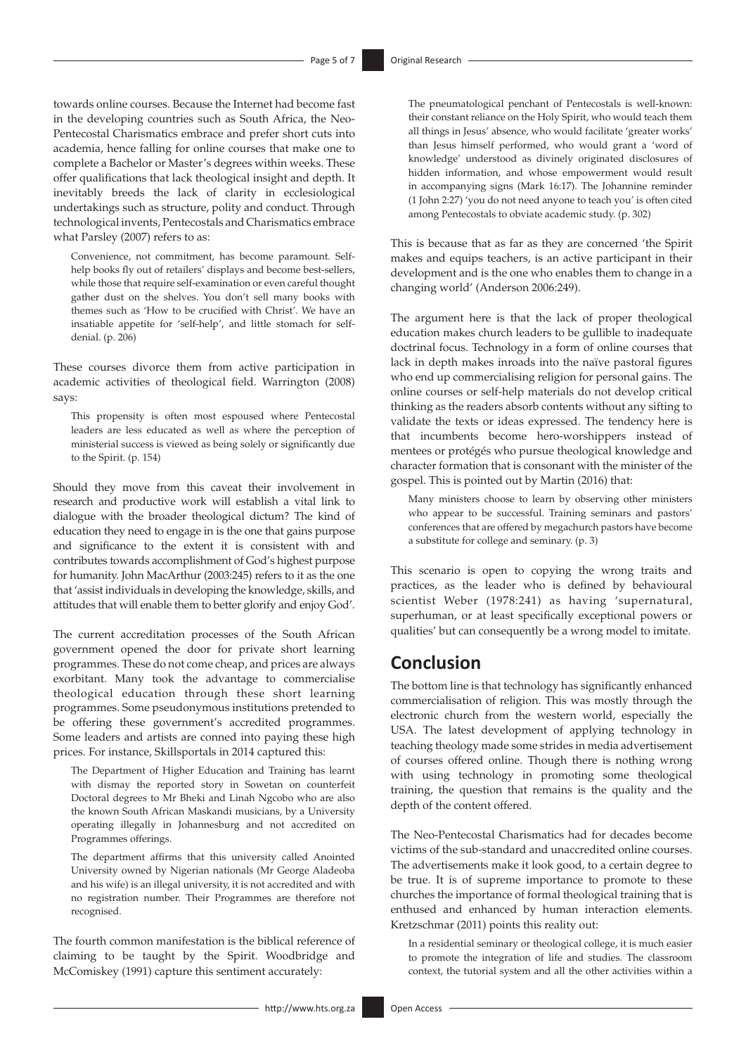towards online courses. Because the Internet had become fast in the developing countries such as South Africa, the Neo-Pentecostal Charismatics embrace and prefer short cuts into academia, hence falling for online courses that make one to complete a Bachelor or Master's degrees within weeks. These offer qualifications that lack theological insight and depth. It inevitably breeds the lack of clarity in ecclesiological undertakings such as structure, polity and conduct. Through technological invents, Pentecostals and Charismatics embrace what Parsley (2007) refers to as:

Convenience, not commitment, has become paramount. Selfhelp books fly out of retailers' displays and become best-sellers, while those that require self-examination or even careful thought gather dust on the shelves. You don't sell many books with themes such as 'How to be crucified with Christ'. We have an insatiable appetite for 'self-help', and little stomach for selfdenial. (p. 206)

These courses divorce them from active participation in academic activities of theological field. Warrington (2008) says:

This propensity is often most espoused where Pentecostal leaders are less educated as well as where the perception of ministerial success is viewed as being solely or significantly due to the Spirit. (p. 154)

Should they move from this caveat their involvement in research and productive work will establish a vital link to dialogue with the broader theological dictum? The kind of education they need to engage in is the one that gains purpose and significance to the extent it is consistent with and contributes towards accomplishment of God's highest purpose for humanity. John MacArthur (2003:245) refers to it as the one that 'assist individuals in developing the knowledge, skills, and attitudes that will enable them to better glorify and enjoy God'.

The current accreditation processes of the South African government opened the door for private short learning programmes. These do not come cheap, and prices are always exorbitant. Many took the advantage to commercialise theological education through these short learning programmes. Some pseudonymous institutions pretended to be offering these government's accredited programmes. Some leaders and artists are conned into paying these high prices. For instance, Skillsportals in 2014 captured this:

The Department of Higher Education and Training has learnt with dismay the reported story in Sowetan on counterfeit Doctoral degrees to Mr Bheki and Linah Ngcobo who are also the known South African Maskandi musicians, by a University operating illegally in Johannesburg and not accredited on Programmes offerings.

The department affirms that this university called Anointed University owned by Nigerian nationals (Mr George Aladeoba and his wife) is an illegal university, it is not accredited and with no registration number. Their Programmes are therefore not recognised.

The fourth common manifestation is the biblical reference of claiming to be taught by the Spirit. Woodbridge and McComiskey (1991) capture this sentiment accurately:

The pneumatological penchant of Pentecostals is well-known: their constant reliance on the Holy Spirit, who would teach them all things in Jesus' absence, who would facilitate 'greater works' than Jesus himself performed, who would grant a 'word of knowledge' understood as divinely originated disclosures of hidden information, and whose empowerment would result in accompanying signs (Mark 16:17). The Johannine reminder (1 John 2:27) 'you do not need anyone to teach you' is often cited among Pentecostals to obviate academic study. (p. 302)

This is because that as far as they are concerned 'the Spirit makes and equips teachers, is an active participant in their development and is the one who enables them to change in a changing world' (Anderson 2006:249).

The argument here is that the lack of proper theological education makes church leaders to be gullible to inadequate doctrinal focus. Technology in a form of online courses that lack in depth makes inroads into the naïve pastoral figures who end up commercialising religion for personal gains. The online courses or self-help materials do not develop critical thinking as the readers absorb contents without any sifting to validate the texts or ideas expressed. The tendency here is that incumbents become hero-worshippers instead of mentees or protégés who pursue theological knowledge and character formation that is consonant with the minister of the gospel. This is pointed out by Martin (2016) that:

Many ministers choose to learn by observing other ministers who appear to be successful. Training seminars and pastors' conferences that are offered by megachurch pastors have become a substitute for college and seminary. (p. 3)

This scenario is open to copying the wrong traits and practices, as the leader who is defined by behavioural scientist Weber (1978:241) as having 'supernatural, superhuman, or at least specifically exceptional powers or qualities' but can consequently be a wrong model to imitate.

### **Conclusion**

The bottom line is that technology has significantly enhanced commercialisation of religion. This was mostly through the electronic church from the western world, especially the USA. The latest development of applying technology in teaching theology made some strides in media advertisement of courses offered online. Though there is nothing wrong with using technology in promoting some theological training, the question that remains is the quality and the depth of the content offered.

The Neo-Pentecostal Charismatics had for decades become victims of the sub-standard and unaccredited online courses. The advertisements make it look good, to a certain degree to be true. It is of supreme importance to promote to these churches the importance of formal theological training that is enthused and enhanced by human interaction elements. Kretzschmar (2011) points this reality out:

In a residential seminary or theological college, it is much easier to promote the integration of life and studies. The classroom context, the tutorial system and all the other activities within a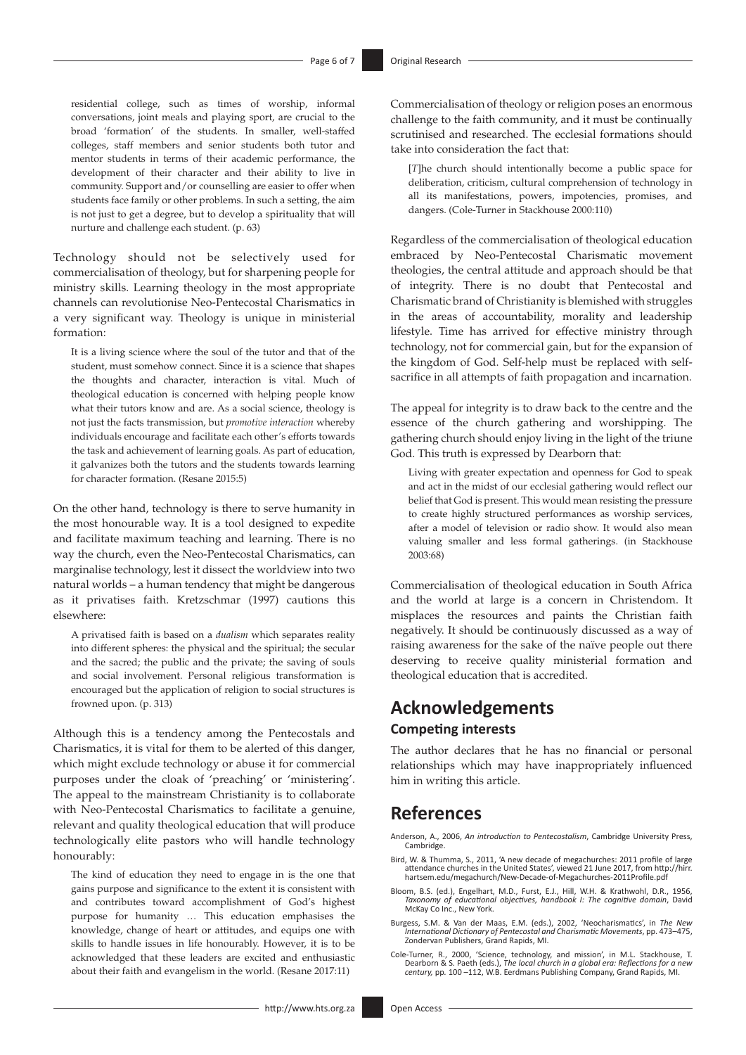residential college, such as times of worship, informal conversations, joint meals and playing sport, are crucial to the broad 'formation' of the students. In smaller, well-staffed colleges, staff members and senior students both tutor and mentor students in terms of their academic performance, the development of their character and their ability to live in community. Support and/or counselling are easier to offer when students face family or other problems. In such a setting, the aim is not just to get a degree, but to develop a spirituality that will nurture and challenge each student. (p. 63)

Technology should not be selectively used for commercialisation of theology, but for sharpening people for ministry skills. Learning theology in the most appropriate channels can revolutionise Neo-Pentecostal Charismatics in a very significant way. Theology is unique in ministerial formation:

It is a living science where the soul of the tutor and that of the student, must somehow connect. Since it is a science that shapes the thoughts and character, interaction is vital. Much of theological education is concerned with helping people know what their tutors know and are. As a social science, theology is not just the facts transmission, but *promotive interaction* whereby individuals encourage and facilitate each other's efforts towards the task and achievement of learning goals. As part of education, it galvanizes both the tutors and the students towards learning for character formation. (Resane 2015:5)

On the other hand, technology is there to serve humanity in the most honourable way. It is a tool designed to expedite and facilitate maximum teaching and learning. There is no way the church, even the Neo-Pentecostal Charismatics, can marginalise technology, lest it dissect the worldview into two natural worlds – a human tendency that might be dangerous as it privatises faith. Kretzschmar (1997) cautions this elsewhere:

A privatised faith is based on a *dualism* which separates reality into different spheres: the physical and the spiritual; the secular and the sacred; the public and the private; the saving of souls and social involvement. Personal religious transformation is encouraged but the application of religion to social structures is frowned upon. (p. 313)

Although this is a tendency among the Pentecostals and Charismatics, it is vital for them to be alerted of this danger, which might exclude technology or abuse it for commercial purposes under the cloak of 'preaching' or 'ministering'. The appeal to the mainstream Christianity is to collaborate with Neo-Pentecostal Charismatics to facilitate a genuine, relevant and quality theological education that will produce technologically elite pastors who will handle technology honourably:

The kind of education they need to engage in is the one that gains purpose and significance to the extent it is consistent with and contributes toward accomplishment of God's highest purpose for humanity … This education emphasises the knowledge, change of heart or attitudes, and equips one with skills to handle issues in life honourably. However, it is to be acknowledged that these leaders are excited and enthusiastic about their faith and evangelism in the world. (Resane 2017:11)

Commercialisation of theology or religion poses an enormous challenge to the faith community, and it must be continually scrutinised and researched. The ecclesial formations should take into consideration the fact that:

[*T*]he church should intentionally become a public space for deliberation, criticism, cultural comprehension of technology in all its manifestations, powers, impotencies, promises, and dangers. (Cole-Turner in Stackhouse 2000:110)

Regardless of the commercialisation of theological education embraced by Neo-Pentecostal Charismatic movement theologies, the central attitude and approach should be that of integrity. There is no doubt that Pentecostal and Charismatic brand of Christianity is blemished with struggles in the areas of accountability, morality and leadership lifestyle. Time has arrived for effective ministry through technology, not for commercial gain, but for the expansion of the kingdom of God. Self-help must be replaced with selfsacrifice in all attempts of faith propagation and incarnation.

The appeal for integrity is to draw back to the centre and the essence of the church gathering and worshipping. The gathering church should enjoy living in the light of the triune God. This truth is expressed by Dearborn that:

Living with greater expectation and openness for God to speak and act in the midst of our ecclesial gathering would reflect our belief that God is present. This would mean resisting the pressure to create highly structured performances as worship services, after a model of television or radio show. It would also mean valuing smaller and less formal gatherings. (in Stackhouse 2003:68)

Commercialisation of theological education in South Africa and the world at large is a concern in Christendom. It misplaces the resources and paints the Christian faith negatively. It should be continuously discussed as a way of raising awareness for the sake of the naïve people out there deserving to receive quality ministerial formation and theological education that is accredited.

# **Acknowledgements Competing interests**

The author declares that he has no financial or personal relationships which may have inappropriately influenced him in writing this article.

# **References**

- Anderson, A., 2006, *An introduction to Pentecostalism*, Cambridge University Press, Cambridge.
- Bird, W. & Thumma, S., 2011, 'A new decade of megachurches: 2011 profile of large attendance churches in the United States', viewed 21 June 2017, from [http://hirr.](http://hirr.hartsem.edu/megachurch/New-Decade-of-Megachurches-2011Profile.pdf) [hartsem.edu/megachurch/New-Decade-of-Megachurches-2011Profile.pdf](http://hirr.hartsem.edu/megachurch/New-Decade-of-Megachurches-2011Profile.pdf)
- Bloom, B.S. (ed.), Engelhart, M.D., Furst, E.J., Hill, W.H. & Krathwohl, D.R., 1956, *Taxonomy of educational objectives, handbook I: The cognitive domain*, David McKay Co Inc., New York.
- Burgess, S.M. & Van der Maas, E.M. (eds.), 2002, 'Neocharismatics', in *The New International Dictionary of Pentecostal and Charismatic Movements*, pp. 473–475, Zondervan Publishers, Grand Rapids, MI.
- Cole-Turner, R., 2000, 'Science, technology, and mission', in M.L. Stackhouse, T. Dearborn & S. Paeth (eds.), *The local church in a global era: Reflections for a new century,* pp*.* 100 –112, W.B. Eerdmans Publishing Company, Grand Rapids, MI.